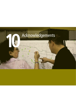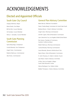# ACKNOWLEDGEMENTS

## Elected and Appointed Officials

Gregory Martinez, Mayor Maria Davila, Vice Mayor Bill De Witt, Council Member Gil Hurtado, Council Member Henry C. Gonzalez, Council Member

### South Gate Planning **Commission**

Sylvia Masushige, Chairperson Cecilia Miranda, Vice Chairperson Angel Colon, Commissioner Roberto Machuca, Commissioner Abe Torres, Commissioner

### South Gate City Council **General Plan Advisory Committee**

Belen Bernal, Oldtimer's Foundation Pastor Charles Brady, Commission for South Gate Youth Barbara Brown, Citizen's Advisory Committee Angel Colon, Planning Commissioner Jennifer Cypert, Parks & Recreation Commission Juan Carlos de la Cruz, Los Angeles Unified School District Ron Garcia, Chamber of Commerce, Southern California Edison Robert Machuca, Planning Commissioner Cecilia Miranda, Planning Commissioner Sonia Miranda, Women's Multicultural Club Naomi Nixon, Parks & Recreation Commission Fr. John Provenza, St. Helen's Catholic Church Jean Reed, Citizen's Advisory Committee Al Rios, East Los Angeles College - South Gate Education Center Marcia Rodriguez Cox, Padres Unidos Bobbie Thompson, Citizens Advisory Committee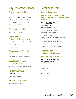### City Department Team

### City Manager's Office

Dr. Ronald Bates, City Manager Bryan Cook, Assistant to the City Manager Nellie Cobos, Assistant to the City Manager Gary Milliman, City Manager (retired) Carmen Avalos, City Clerk

### City Attorney's Office

Raul F. Salinas, City Attorney

### Department of Community Development:

Steve Lefever, Community Development Director Alvie Betancourt, Senior Planner Sonia Shah, Senior Planner

### Department of Public Works

Robert Dickey, Director of Public Works Mohammad Mostahkami, City Engineer

### Department of Parks and Recreation

Paul Adams, Parks and Recreation Director

### Police Department

Robert Todd, Chief Vincent Avila, Captain

### Finance Department

Julia James, Finance Director

### Consultant Team

### Raimi + Associates, Inc.

**Project Management, Land Use, Urban Design, Public Health, Open Space, Conservation, Public Facilities and Services, GIS**

**46 Shattuck Square, Suite 24 Berkeley, CA 94704 510-666-1010 (ph) www.raimiassociates.com**

Matthew Raimi, AICP, Principal-in-Charge

Sarah Patrick, Senior Planner

Aaron Welch, Planner

David Schellinger, Adjunct Graphic Designer and Urban Designer

John Goldie, Adjunct Graphic Designer

Richard Kos, Adjunct GIS Consultant

Arron Heriford, Adjunct GIS Consultant

### Transportation and Land Use Collaborative

### **Public Outreach and Project Management**

**444 S. Flower Street, 34th Floor Los Angeles, CA 90071 www.tluc.net**

Monica Villalobos William Cipes Samuel Filler Katherine Aguilar Perez Christine Aure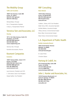### The Mobility Group

#### **Traffic and Circulation**

**18301 Von Karman, Suite 580 Irvine, CA 92612 949-474-1591 (phone) 949-474-1599 (fax)**

Michael Bates, Principal Eric Ji, Transportation Engineer

Cindy Liu, Transportation Planner

### Veronica Tam and Associates, LLC

#### **Housing**

**107 S. Fair Oaks Avenue, Suite 212 Pasadena, CA 91105 626-304-0440 (phone) 626-304-0005 (fax) www.vtaplanning.com**

Veronica Tam, Principal

Kanishka Karunaratne, Planner

### Kosmont Companies

#### **Economics**

**16501 Ventura Blvd., Suite # 511 Encino, CA 91436 (818) 536-5027 Direct Line 818-981-8484 (phone) 818- 981-8588 (fax) www.kosmont.com**

Larry Kosmont, President and CEO C. Wil Soholt, Senior Vice President Harpal Sadhal, Vice President

### RBF Consulting

#### **Noise Element**

**14725 Alton Parkway Irvine, CA 92618-2027 949-472-3505 (phone) 949-472-8373 (fax) www.rbf.com**

Collette L. Morse, AICP, Vice President Eddie Torres, INCE, Acoustical Specialist Achilles Malisos, Acoustical Analyst Tiffany Johnson, Environmental Analyst Brian Allee, Environmental Analyst

Kelly Chiene, Environmental Analyst

### L.A. Department of Public Health

#### **Healthy Community Element**

**7643 South Painter Avenue Whittier, CA 90602 542-464-5350 www.pf.lacounty.gov**

Dr. Sylvia Prieto

Christine Gibson

### Hartzog & Crabill, Inc

**275 Centennial Way, Suite 208 Tustin, CA 92780 714-731-9455 (phone) 714-731-9498 (fax) www.hartzog-crabill.com**

### John L. Hunter and Associates, Inc.

**13310 Firestone Boulevard, A-2 Santa Fe Springs, CA 90670 562-802-7880 (phone) 562-802-2297 (fax) www.jlha.net**